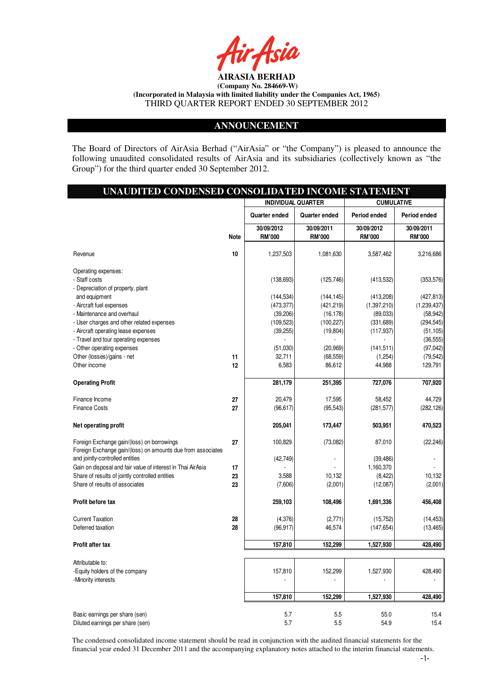

### **ANNOUNCEMENT**

The Board of Directors of AirAsia Berhad ("AirAsia" or "the Company") is pleased to announce the following unaudited consolidated results of AirAsia and its subsidiaries (collectively known as "the Group") for the third quarter ended 30 September 2012.

| UNAUDITED CONDENSED CONSOLIDATED INCOME STATEMENT                                                         |             |                                                |                             |                             |                             |  |
|-----------------------------------------------------------------------------------------------------------|-------------|------------------------------------------------|-----------------------------|-----------------------------|-----------------------------|--|
|                                                                                                           |             | <b>INDIVIDUAL QUARTER</b><br><b>CUMULATIVE</b> |                             |                             |                             |  |
|                                                                                                           |             | Quarter ended                                  | Quarter ended               | Period ended                | Period ended                |  |
|                                                                                                           | <b>Note</b> | 30/09/2012<br><b>RM'000</b>                    | 30/09/2011<br><b>RM'000</b> | 30/09/2012<br><b>RM'000</b> | 30/09/2011<br><b>RM'000</b> |  |
| Revenue                                                                                                   | 10          | 1,237,503                                      | 1,081,630                   | 3,587,462                   | 3,216,686                   |  |
| Operating expenses:                                                                                       |             |                                                |                             |                             |                             |  |
| - Staff costs                                                                                             |             | (138, 693)                                     | (125, 746)                  | (413, 532)                  | (353, 576)                  |  |
| - Depreciation of property, plant                                                                         |             |                                                |                             |                             |                             |  |
| and equipment                                                                                             |             | (144, 534)                                     | (144, 145)                  | (413, 208)                  | (427, 813)                  |  |
| - Aircraft fuel expenses                                                                                  |             | (473, 377)                                     | (421, 219)                  | (1,397,210)                 | (1,239,437)                 |  |
| - Maintenance and overhaul                                                                                |             | (39, 206)                                      | (16, 178)                   | (89,033)                    | (58, 942)                   |  |
| - User charges and other related expenses                                                                 |             | (109, 523)                                     | (100, 227)                  | (331, 689)                  | (294, 545)                  |  |
| - Aircraft operating lease expenses                                                                       |             | (39, 255)                                      | (19, 804)                   | (117, 937)                  | (51, 105)                   |  |
| - Travel and tour operating expenses                                                                      |             |                                                |                             |                             | (36, 555)                   |  |
| - Other operating expenses                                                                                |             | (51,030)                                       | (20, 969)                   | (141, 511)                  | (97, 042)                   |  |
| Other (losses)/gains - net                                                                                | 11          | 32,711                                         | (68, 559)                   | (1,254)                     | (79, 542)                   |  |
| Other income                                                                                              | 12          | 6,583                                          | 86,612                      | 44,988                      | 129,791                     |  |
| <b>Operating Profit</b>                                                                                   |             | 281,179                                        | 251,395                     | 727,076                     | 707,920                     |  |
| Finance Income                                                                                            | 27          | 20,479                                         | 17,595                      | 58,452                      | 44,729                      |  |
| <b>Finance Costs</b>                                                                                      | 27          | (96, 617)                                      | (95, 543)                   | (281, 577)                  | (282, 126)                  |  |
| Net operating profit                                                                                      |             | 205,041                                        | 173,447                     | 503,951                     | 470,523                     |  |
| Foreign Exchange gain/(loss) on borrowings<br>Foreign Exchange gain/(loss) on amounts due from associates | 27          | 100,829                                        | (73,082)                    | 87,010                      | (22, 246)                   |  |
| and jointly-controlled entities                                                                           |             | (42, 749)                                      |                             | (39, 486)                   |                             |  |
| Gain on disposal and fair value of interest in Thai AirAsia                                               | 17          |                                                |                             | 1,160,370                   |                             |  |
| Share of results of jointly controlled entities                                                           | 23          | 3,588                                          | 10,132                      | (8, 422)                    | 10,132                      |  |
| Share of results of associates                                                                            | 23          | (7,606)                                        | (2,001)                     | (12,087)                    | (2,001)                     |  |
| Profit before tax                                                                                         |             | 259,103                                        | 108,496                     | 1,691,336                   | 456,408                     |  |
| <b>Current Taxation</b>                                                                                   | 28          | (4,376)                                        | (2,771)                     | (15, 752)                   | (14, 453)                   |  |
| Deferred taxation                                                                                         | 28          | (96, 917)                                      | 46,574                      | (147, 654)                  | (13, 465)                   |  |
| Profit after tax                                                                                          |             | 157,810                                        | 152,299                     | 1,527,930                   | 428,490                     |  |
|                                                                                                           |             |                                                |                             |                             |                             |  |
| Attributable to:                                                                                          |             |                                                |                             |                             |                             |  |
| -Equity holders of the company                                                                            |             | 157,810                                        | 152,299                     | 1,527,930                   | 428,490                     |  |
| -Minority interests                                                                                       |             |                                                |                             |                             |                             |  |
|                                                                                                           |             | 157,810                                        | 152,299                     | 1,527,930                   | 428,490                     |  |
| Basic earnings per share (sen)                                                                            |             | 5.7                                            | 5.5                         | 55.0                        | 15.4                        |  |
| Diluted earnings per share (sen)                                                                          |             | 5.7                                            | 5.5                         | 54.9                        | 15.4                        |  |

The condensed consolidated income statement should be read in conjunction with the audited financial statements for the financial year ended 31 December 2011 and the accompanying explanatory notes attached to the interim financial statements.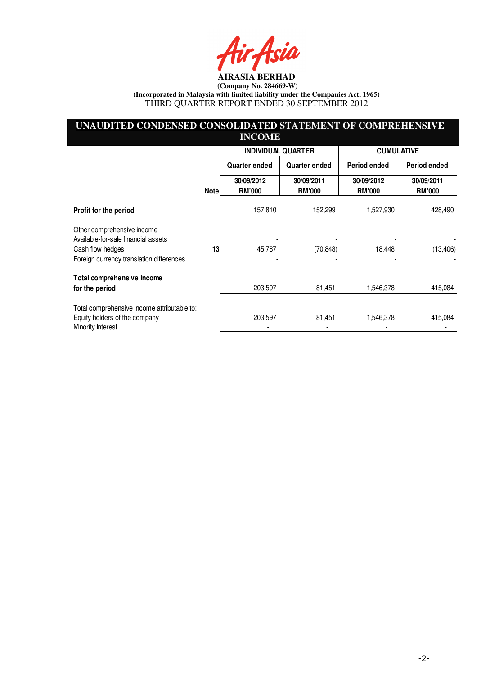Asia

# **UNAUDITED CONDENSED CONSOLIDATED STATEMENT OF COMPREHENSIVE INCOME**

|                                                                              |             | <b>INDIVIDUAL QUARTER</b>   |                             | <b>CUMULATIVE</b>           |                             |
|------------------------------------------------------------------------------|-------------|-----------------------------|-----------------------------|-----------------------------|-----------------------------|
|                                                                              |             | <b>Quarter ended</b>        | Quarter ended               | Period ended                | Period ended                |
|                                                                              | <b>Note</b> | 30/09/2012<br><b>RM'000</b> | 30/09/2011<br><b>RM'000</b> | 30/09/2012<br><b>RM'000</b> | 30/09/2011<br><b>RM'000</b> |
| Profit for the period                                                        |             | 157,810                     | 152,299                     | 1,527,930                   | 428,490                     |
| Other comprehensive income<br>Available-for-sale financial assets            |             |                             |                             |                             |                             |
| Cash flow hedges                                                             | 13          | 45,787                      | (70, 848)                   | 18,448                      | (13, 406)                   |
| Foreign currency translation differences                                     |             |                             |                             |                             |                             |
| Total comprehensive income                                                   |             |                             |                             |                             |                             |
| for the period                                                               |             | 203,597                     | 81,451                      | 1,546,378                   | 415,084                     |
| Total comprehensive income attributable to:<br>Equity holders of the company |             | 203,597                     | 81,451                      | 1,546,378                   | 415,084                     |
| Minority Interest                                                            |             |                             |                             |                             |                             |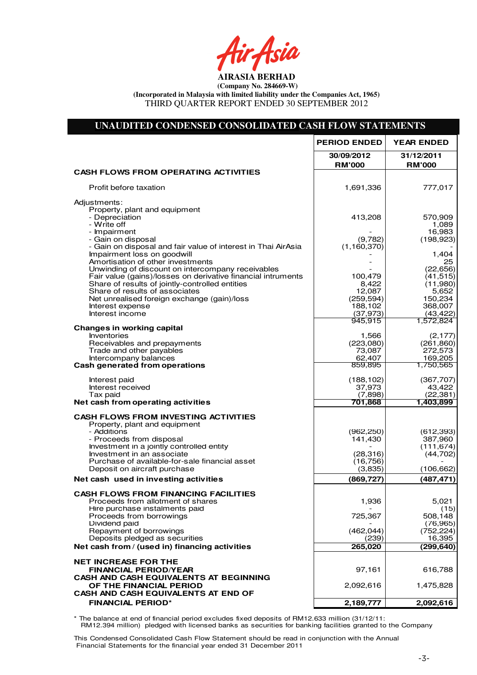Air Asia

# **UNAUDITED CONDENSED CONSOLIDATED CASH FLOW STATEMENTS**

|                                                                                                                 | <b>PERIOD ENDED</b>         | <b>YEAR ENDED</b>           |
|-----------------------------------------------------------------------------------------------------------------|-----------------------------|-----------------------------|
|                                                                                                                 | 30/09/2012<br><b>RM'000</b> | 31/12/2011<br><b>RM'000</b> |
| <b>CASH FLOWS FROM OPERATING ACTIVITIES</b>                                                                     |                             |                             |
| Profit before taxation                                                                                          | 1,691,336                   | 777,017                     |
| Adjustments:<br>Property, plant and equipment                                                                   |                             |                             |
| - Depreciation                                                                                                  | 413,208                     | 570,909                     |
| - Write off<br>- Impairment                                                                                     |                             | 1,089<br>16,983             |
| - Gain on disposal                                                                                              | (9,782)                     | (198, 923)                  |
| - Gain on disposal and fair value of interest in Thai AirAsia<br>Impairment loss on goodwill                    | (1, 160, 370)               | 1,404                       |
| Amortisation of other investments                                                                               |                             | 25                          |
| Unwinding of discount on intercompany receivables                                                               |                             | (22, 656)                   |
| Fair value (gains)/losses on derivative financial intruments<br>Share of results of jointly-controlled entities | 100,479<br>8,422            | (41, 515)<br>(11,980)       |
| Share of results of associates                                                                                  | 12,087                      | 5,652                       |
| Net unrealised foreign exchange (gain)/loss<br>Interest expense                                                 | (259, 594)<br>188,102       | 150,234<br>368,007          |
| Interest income                                                                                                 | (37, 973)                   | (43, 422)                   |
|                                                                                                                 | 945,915                     | 1,572,824                   |
| <b>Changes in working capital</b><br>Inventories                                                                | 1,566                       | (2, 177)                    |
| Receivables and prepayments                                                                                     | (223,080)                   | (261, 860)                  |
| Trade and other payables                                                                                        | 73,087<br>62,407            | 272,573<br>169,205          |
| Intercompany balances<br>Cash generated from operations                                                         | 859,895                     | 1,750,565                   |
| Interest paid                                                                                                   | (188, 102)                  | (367, 707)                  |
| Interest received                                                                                               | 37,973                      | 43,422                      |
| Tax paid<br>Net cash from operating activities                                                                  | (7,898)<br>701,868          | (22, 381)<br>1,403,899      |
|                                                                                                                 |                             |                             |
| <b>CASH FLOWS FROM INVESTING ACTIVITIES</b><br>Property, plant and equipment                                    |                             |                             |
| - Additions                                                                                                     | (962, 250)                  | (612, 393)                  |
| - Proceeds from disposal<br>Investment in a jointly controlled entity                                           | 141,430                     | 387,960<br>(111, 674)       |
| Investment in an associate                                                                                      | (28, 316)                   | (44, 702)                   |
| Purchase of available-for-sale financial asset                                                                  | (16, 756)                   |                             |
| Deposit on aircraft purchase                                                                                    | (3,835)                     | (106, 662)                  |
| Net cash used in investing activities                                                                           | (869, 727)                  | (487, 471)                  |
| <b>CASH FLOWS FROM FINANCING FACILITIES</b><br>Proceeds from allotment of shares                                | 1,936                       | 5,021                       |
| Hire purchase instalments paid                                                                                  |                             | (15)                        |
| Proceeds from borrowings                                                                                        | 725,367                     | 508,148                     |
| Dividend paid<br>Repayment of borrowings                                                                        | (462, 044)                  | (76, 965)<br>(752, 224)     |
| Deposits pledged as securities                                                                                  | (239)                       | 16,395                      |
| Net cash from / (used in) financing activities                                                                  | 265,020                     | (299, 640)                  |
| <b>NET INCREASE FOR THE</b>                                                                                     |                             |                             |
| <b>FINANCIAL PERIOD/YEAR</b>                                                                                    | 97,161                      | 616,788                     |
| CASH AND CASH EQUIVALENTS AT BEGINNING<br>OF THE FINANCIAL PERIOD                                               | 2,092,616                   | 1,475,828                   |
| CASH AND CASH EQUIVALENTS AT END OF                                                                             |                             |                             |
| <b>FINANCIAL PERIOD*</b>                                                                                        | 2,189,777                   | 2,092,616                   |
|                                                                                                                 |                             |                             |

\* The balance at end of financial period excludes fixed deposits of RM12.633 million (31/12/11: RM12.394 million) pledged with licensed banks as securities for banking facilities granted to the Company

This Condensed Consolidated Cash Flow Statement should be read in conjunction with the Annual Financial Statements for the financial year ended 31 December 2011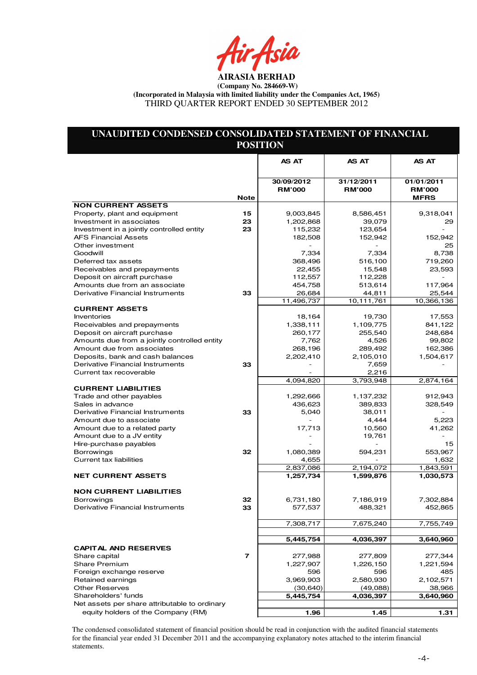ir Asia

# **UNAUDITED CONDENSED CONSOLIDATED STATEMENT OF FINANCIAL POSITION**

|                                                             |             | AS AT                       | AS AT                       | AS AT                       |
|-------------------------------------------------------------|-------------|-----------------------------|-----------------------------|-----------------------------|
|                                                             |             |                             |                             |                             |
|                                                             |             | 30/09/2012<br><b>RM'000</b> | 31/12/2011<br><b>RM'000</b> | 01/01/2011<br><b>RM'000</b> |
|                                                             | <b>Note</b> |                             |                             | <b>MFRS</b>                 |
| <b>NON CURRENT ASSETS</b>                                   |             |                             |                             |                             |
| Property, plant and equipment                               | 15          | 9,003,845                   | 8,586,451                   | 9,318,041                   |
| Investment in associates                                    | 23          | 1,202,868                   | 39,079                      | 29                          |
| Investment in a jointly controlled entity                   | 23          | 115,232                     | 123,654                     |                             |
| <b>AFS Financial Assets</b>                                 |             | 182,508                     | 152,942                     | 152,942                     |
| Other investment                                            |             |                             |                             | 25                          |
| Goodwill                                                    |             | 7.334                       | 7,334                       | 8,738                       |
| Deferred tax assets                                         |             | 368,496                     | 516,100                     | 719,260                     |
| Receivables and prepayments<br>Deposit on aircraft purchase |             | 22,455<br>112,557           | 15,548<br>112,228           | 23,593                      |
| Amounts due from an associate                               |             | 454,758                     | 513,614                     | 117,964                     |
| Derivative Financial Instruments                            | 33          | 26,684                      | 44,811                      | 25,544                      |
|                                                             |             | 11,496,737                  | 10,111,761                  | 10,366,136                  |
| <b>CURRENT ASSETS</b>                                       |             |                             |                             |                             |
| <b>Inventories</b>                                          |             | 18,164                      | 19,730                      | 17,553                      |
| Receivables and prepayments                                 |             | 1,338,111                   | 1,109,775                   | 841,122                     |
| Deposit on aircraft purchase                                |             | 260,177                     | 255,540                     | 248,684                     |
| Amounts due from a jointly controlled entity                |             | 7,762                       | 4,526                       | 99,802                      |
| Amount due from associates                                  |             | 268,196                     | 289,492                     | 162,386                     |
| Deposits, bank and cash balances                            |             | 2,202,410                   | 2,105,010                   | 1,504,617                   |
| Derivative Financial Instruments                            | 33          |                             | 7,659                       |                             |
| Current tax recoverable                                     |             |                             | 2,216                       |                             |
|                                                             |             | 4,094,820                   | 3,793,948                   | 2,874,164                   |
| <b>CURRENT LIABILITIES</b>                                  |             |                             |                             |                             |
| Trade and other payables                                    |             | 1,292,666                   | 1,137,232                   | 912,943                     |
| Sales in advance                                            |             | 436,623                     | 389,833                     | 328,549                     |
| Derivative Financial Instruments                            | 33          | 5,040                       | 38,011                      |                             |
| Amount due to associate                                     |             |                             | 4,444                       | 5,223                       |
| Amount due to a related party                               |             | 17,713                      | 10,560                      | 41,262                      |
| Amount due to a JV entity                                   |             |                             | 19,761                      |                             |
| Hire-purchase payables<br><b>Borrowings</b>                 | 32          | 1,080,389                   | 594,231                     | 15<br>553,967               |
| <b>Current tax liabilities</b>                              |             | 4,655                       |                             | 1,632                       |
|                                                             |             | 2,837,086                   | 2,194,072                   | 1,843,591                   |
| <b>NET CURRENT ASSETS</b>                                   |             | 1,257,734                   | 1,599,876                   | 1,030,573                   |
|                                                             |             |                             |                             |                             |
| <b>NON CURRENT LIABILITIES</b>                              |             |                             |                             |                             |
| <b>Borrowings</b>                                           | 32          | 6,731,180                   | 7,186,919                   | 7,302,884                   |
| Derivative Financial Instruments                            | 33          | 577,537                     | 488,321                     | 452,865                     |
|                                                             |             |                             |                             |                             |
|                                                             |             | 7,308,717                   | 7,675,240                   | 7,755,749                   |
|                                                             |             |                             |                             |                             |
|                                                             |             | 5,445,754                   | 4,036,397                   | 3,640,960                   |
| <b>CAPITAL AND RESERVES</b>                                 |             |                             |                             |                             |
| Share capital                                               | 7           | 277,988                     | 277,809                     | 277,344                     |
| <b>Share Premium</b>                                        |             | 1,227,907                   | 1,226,150                   | 1,221,594                   |
| Foreign exchange reserve                                    |             | 596                         | 596                         | 485                         |
| Retained earnings                                           |             | 3,969,903                   | 2,580,930                   | 2,102,571                   |
| <b>Other Reserves</b>                                       |             | (30, 640)                   | (49,088)                    | 38,966                      |
| Shareholders' funds                                         |             | 5,445,754                   | 4,036,397                   | 3,640,960                   |
| Net assets per share attributable to ordinary               |             |                             |                             |                             |
| equity holders of the Company (RM)                          |             | 1.96                        | 1.45                        | 1.31                        |

The condensed consolidated statement of financial position should be read in conjunction with the audited financial statements for the financial year ended 31 December 2011 and the accompanying explanatory notes attached to the interim financial statements.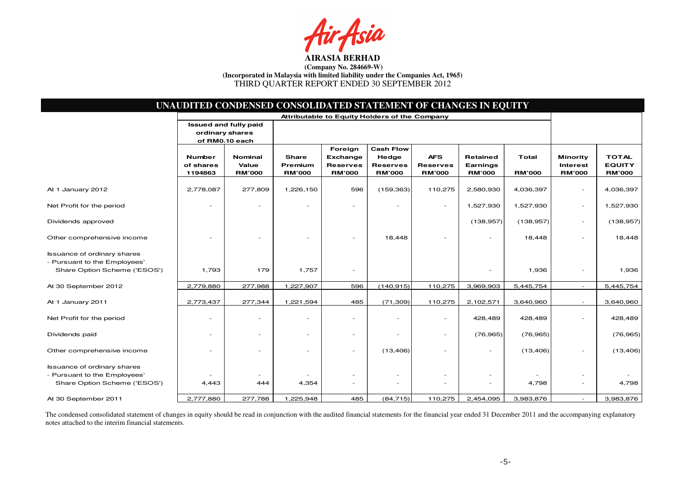Fsia

|                                                                                                    |                                               | UNAUDITED CONDENSED CONSOLIDATED STATEMENT OF CHANGES IN EQUITY |                                          |                                                         |                                                               |                                                |                                       |                        |                                                     |                                                |
|----------------------------------------------------------------------------------------------------|-----------------------------------------------|-----------------------------------------------------------------|------------------------------------------|---------------------------------------------------------|---------------------------------------------------------------|------------------------------------------------|---------------------------------------|------------------------|-----------------------------------------------------|------------------------------------------------|
|                                                                                                    | Attributable to Equity Holders of the Company |                                                                 |                                          |                                                         |                                                               |                                                |                                       |                        |                                                     |                                                |
|                                                                                                    | ordinary shares<br>of RM0.10 each             | Issued and fully paid                                           |                                          |                                                         |                                                               |                                                |                                       |                        |                                                     |                                                |
|                                                                                                    | <b>Number</b><br>of shares<br>1194863         | <b>Nominal</b><br>Value<br><b>RM'000</b>                        | <b>Share</b><br>Premium<br><b>RM'000</b> | Foreign<br>Exchange<br><b>Reserves</b><br><b>RM'000</b> | <b>Cash Flow</b><br>Hedge<br><b>Reserves</b><br><b>RM'000</b> | <b>AFS</b><br><b>Reserves</b><br><b>RM'000</b> | Retained<br>Earnings<br><b>RM'000</b> | Total<br><b>RM'000</b> | <b>Minority</b><br><b>Interest</b><br><b>RM'000</b> | <b>TOTAL</b><br><b>EQUITY</b><br><b>RM'000</b> |
| At 1 January 2012                                                                                  | 2,778,087                                     | 277,809                                                         | 1,226,150                                | 596                                                     | (159, 363)                                                    | 110,275                                        | 2,580,930                             | 4,036,397              |                                                     | 4,036,397                                      |
| Net Profit for the period                                                                          |                                               |                                                                 |                                          |                                                         |                                                               | $\sim$                                         | 1,527,930                             | 1,527,930              | $\overline{\phantom{a}}$                            | 1,527,930                                      |
| Dividends approved                                                                                 |                                               |                                                                 |                                          |                                                         |                                                               |                                                | (138, 957)                            | (138, 957)             | $\overline{\phantom{a}}$                            | (138, 957)                                     |
| Other comprehensive income                                                                         |                                               |                                                                 |                                          |                                                         | 18,448                                                        |                                                |                                       | 18,448                 |                                                     | 18,448                                         |
| <b>Issuance of ordinary shares</b><br>- Pursuant to the Employees'<br>Share Option Scheme ('ESOS') | 1,793                                         | 179                                                             | 1,757                                    | $\overline{\phantom{a}}$                                |                                                               |                                                |                                       | 1,936                  | $\overline{\phantom{a}}$                            | 1,936                                          |
| At 30 September 2012                                                                               | 2,779,880                                     | 277,988                                                         | 1,227,907                                | 596                                                     | (140, 915)                                                    | 110,275                                        | 3,969,903                             | 5,445,754              | $\overline{\phantom{a}}$                            | 5,445,754                                      |
| At 1 January 2011                                                                                  | 2,773,437                                     | 277,344                                                         | 1,221,594                                | 485                                                     | (71, 309)                                                     | 110,275                                        | 2,102,571                             | 3,640,960              |                                                     | 3,640,960                                      |
| Net Profit for the period                                                                          |                                               |                                                                 |                                          | $\overline{a}$                                          | $\overline{\phantom{0}}$                                      | $\sim$                                         | 428,489                               | 428,489                |                                                     | 428,489                                        |
| Dividends paid                                                                                     |                                               |                                                                 | $\overline{\phantom{0}}$                 | $\overline{\phantom{a}}$                                | $\overline{a}$                                                | $\overline{\phantom{a}}$                       | (76, 965)                             | (76, 965)              |                                                     | (76, 965)                                      |
| Other comprehensive income                                                                         |                                               |                                                                 |                                          | $\overline{\phantom{a}}$                                | (13, 406)                                                     |                                                |                                       | (13, 406)              |                                                     | (13, 406)                                      |
| <b>Issuance of ordinary shares</b><br>- Pursuant to the Employees'<br>Share Option Scheme ('ESOS') | 4,443                                         | 444                                                             | 4,354                                    | $\overline{\phantom{a}}$<br>$\overline{\phantom{a}}$    | $\overline{\phantom{0}}$<br>$\overline{\phantom{a}}$          | $\overline{\phantom{a}}$                       | $\overline{\phantom{a}}$              | 4,798                  |                                                     | 4,798                                          |
| At 30 September 2011                                                                               | 2,777,880                                     | 277,788                                                         | 1,225,948                                | 485                                                     | (84, 715)                                                     | 110,275                                        | 2,454,095                             | 3,983,876              | $\sim$                                              | 3,983,876                                      |

The condensed consolidated statement of changes in equity should be read in conjunction with the audited financial statements for the financial year ended 31 December 2011 and the accompanying explanatory notes attached to the interim financial statements.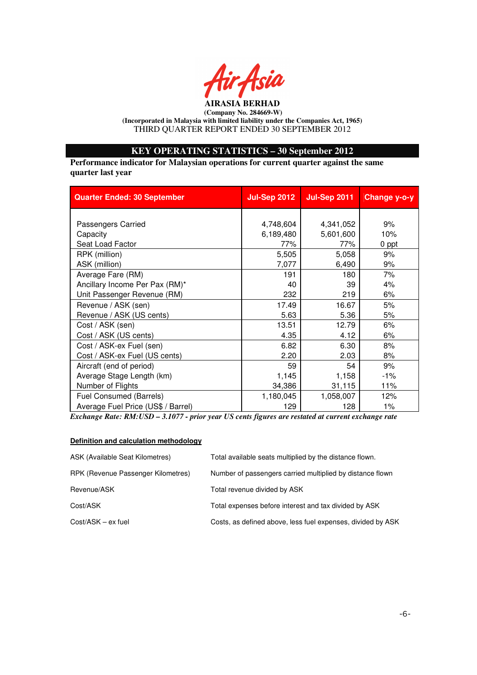

# **KEY OPERATING STATISTICS – 30 September 2012**

**Performance indicator for Malaysian operations for current quarter against the same quarter last year** 

| <b>Quarter Ended: 30 September</b> | <b>Jul-Sep 2012</b> | <b>Jul-Sep 2011</b> | Change y-o-y |
|------------------------------------|---------------------|---------------------|--------------|
|                                    |                     |                     |              |
| Passengers Carried                 | 4,748,604           | 4,341,052           | 9%           |
| Capacity                           | 6,189,480           | 5,601,600           | 10%          |
| Seat Load Factor                   | 77%                 | 77%                 | 0 ppt        |
| RPK (million)                      | 5,505               | 5,058               | 9%           |
| ASK (million)                      | 7,077               | 6,490               | 9%           |
| Average Fare (RM)                  | 191                 | 180                 | 7%           |
| Ancillary Income Per Pax (RM)*     | 40                  | 39                  | 4%           |
| Unit Passenger Revenue (RM)        | 232                 | 219                 | 6%           |
| Revenue / ASK (sen)                | 17.49               | 16.67               | 5%           |
| Revenue / ASK (US cents)           | 5.63                | 5.36                | 5%           |
| Cost / ASK (sen)                   | 13.51               | 12.79               | 6%           |
| Cost / ASK (US cents)              | 4.35                | 4.12                | 6%           |
| Cost / ASK-ex Fuel (sen)           | 6.82                | 6.30                | 8%           |
| Cost / ASK-ex Fuel (US cents)      | 2.20                | 2.03                | 8%           |
| Aircraft (end of period)           | 59                  | 54                  | 9%           |
| Average Stage Length (km)          | 1,145               | 1,158               | $-1\%$       |
| Number of Flights                  | 34,386              | 31,115              | 11%          |
| Fuel Consumed (Barrels)            | 1,180,045           | 1,058,007           | 12%          |
| Average Fuel Price (US\$ / Barrel) | 129                 | 128                 | $1\%$        |

*Exchange Rate: RM:USD – 3.1077 - prior year US cents figures are restated at current exchange rate* 

#### **Definition and calculation methodology**

| ASK (Available Seat Kilometres)    | Total available seats multiplied by the distance flown.     |
|------------------------------------|-------------------------------------------------------------|
| RPK (Revenue Passenger Kilometres) | Number of passengers carried multiplied by distance flown   |
| Revenue/ASK                        | Total revenue divided by ASK                                |
| Cost/ASK                           | Total expenses before interest and tax divided by ASK       |
| $Cost/ASK - ex fuel$               | Costs, as defined above, less fuel expenses, divided by ASK |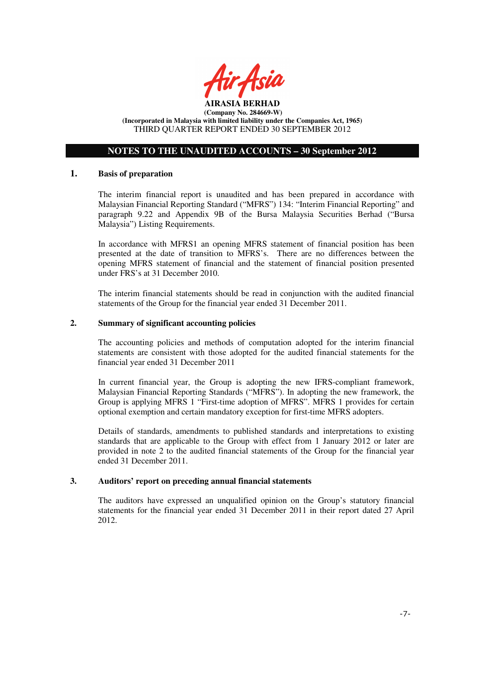

### **NOTES TO THE UNAUDITED ACCOUNTS – 30 September 2012**

### **1. Basis of preparation**

The interim financial report is unaudited and has been prepared in accordance with Malaysian Financial Reporting Standard ("MFRS") 134: "Interim Financial Reporting" and paragraph 9.22 and Appendix 9B of the Bursa Malaysia Securities Berhad ("Bursa Malaysia") Listing Requirements.

In accordance with MFRS1 an opening MFRS statement of financial position has been presented at the date of transition to MFRS's. There are no differences between the opening MFRS statement of financial and the statement of financial position presented under FRS's at 31 December 2010.

The interim financial statements should be read in conjunction with the audited financial statements of the Group for the financial year ended 31 December 2011.

### **2. Summary of significant accounting policies**

The accounting policies and methods of computation adopted for the interim financial statements are consistent with those adopted for the audited financial statements for the financial year ended 31 December 2011

In current financial year, the Group is adopting the new IFRS-compliant framework, Malaysian Financial Reporting Standards ("MFRS"). In adopting the new framework, the Group is applying MFRS 1 "First-time adoption of MFRS". MFRS 1 provides for certain optional exemption and certain mandatory exception for first-time MFRS adopters.

Details of standards, amendments to published standards and interpretations to existing standards that are applicable to the Group with effect from 1 January 2012 or later are provided in note 2 to the audited financial statements of the Group for the financial year ended 31 December 2011.

#### **3. Auditors' report on preceding annual financial statements**

The auditors have expressed an unqualified opinion on the Group's statutory financial statements for the financial year ended 31 December 2011 in their report dated 27 April 2012.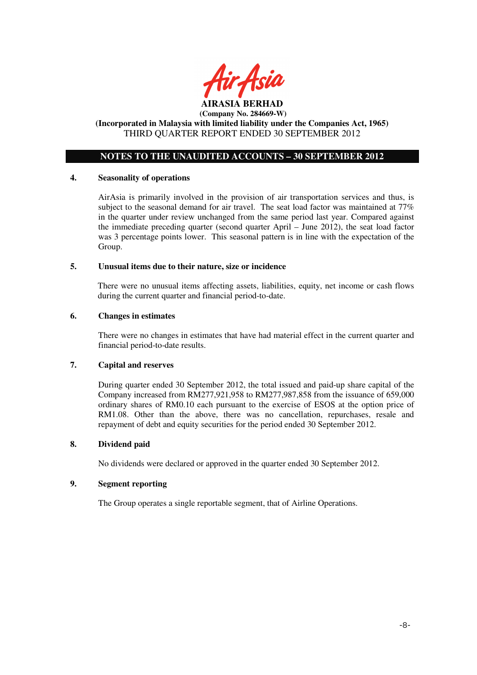

## **NOTES TO THE UNAUDITED ACCOUNTS – 30 SEPTEMBER 2012**

### **4. Seasonality of operations**

AirAsia is primarily involved in the provision of air transportation services and thus, is subject to the seasonal demand for air travel. The seat load factor was maintained at 77% in the quarter under review unchanged from the same period last year. Compared against the immediate preceding quarter (second quarter April – June 2012), the seat load factor was 3 percentage points lower. This seasonal pattern is in line with the expectation of the Group.

### **5. Unusual items due to their nature, size or incidence**

There were no unusual items affecting assets, liabilities, equity, net income or cash flows during the current quarter and financial period-to-date.

### **6. Changes in estimates**

There were no changes in estimates that have had material effect in the current quarter and financial period-to-date results.

## **7. Capital and reserves**

During quarter ended 30 September 2012, the total issued and paid-up share capital of the Company increased from RM277,921,958 to RM277,987,858 from the issuance of 659,000 ordinary shares of RM0.10 each pursuant to the exercise of ESOS at the option price of RM1.08. Other than the above, there was no cancellation, repurchases, resale and repayment of debt and equity securities for the period ended 30 September 2012.

### **8. Dividend paid**

No dividends were declared or approved in the quarter ended 30 September 2012.

### **9. Segment reporting**

The Group operates a single reportable segment, that of Airline Operations.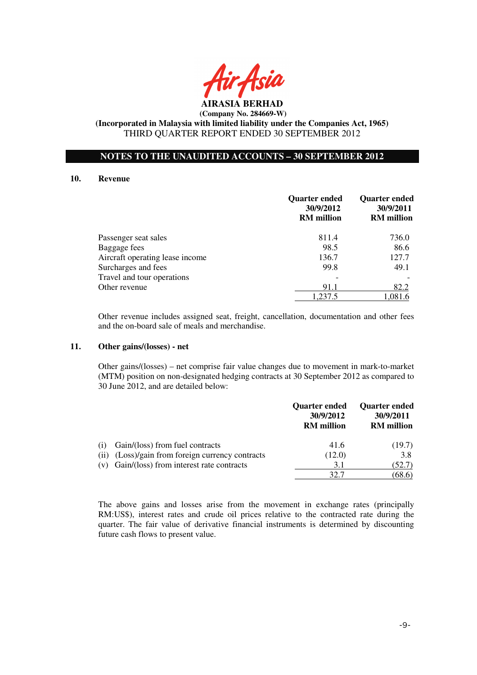

### **NOTES TO THE UNAUDITED ACCOUNTS – 30 SEPTEMBER 2012**

#### **10. Revenue**

|                                 | <b>Quarter ended</b><br>30/9/2012<br><b>RM</b> million | <b>Quarter ended</b><br>30/9/2011<br><b>RM</b> million |
|---------------------------------|--------------------------------------------------------|--------------------------------------------------------|
| Passenger seat sales            | 811.4                                                  | 736.0                                                  |
| Baggage fees                    | 98.5                                                   | 86.6                                                   |
| Aircraft operating lease income | 136.7                                                  | 127.7                                                  |
| Surcharges and fees             | 99.8                                                   | 49.1                                                   |
| Travel and tour operations      |                                                        |                                                        |
| Other revenue                   | 91.1                                                   | 82.2                                                   |
|                                 | 1,237.5                                                | 1,081.6                                                |

Other revenue includes assigned seat, freight, cancellation, documentation and other fees and the on-board sale of meals and merchandise.

### **11. Other gains/(losses) - net**

 Other gains/(losses) – net comprise fair value changes due to movement in mark-to-market (MTM) position on non-designated hedging contracts at 30 September 2012 as compared to 30 June 2012, and are detailed below:

|     |                                                  | <b>Quarter ended</b><br>30/9/2012<br><b>RM</b> million | <b>Quarter ended</b><br>30/9/2011<br><b>RM</b> million |
|-----|--------------------------------------------------|--------------------------------------------------------|--------------------------------------------------------|
| (1) | Gain/(loss) from fuel contracts                  | 41.6                                                   | (19.7)                                                 |
|     | (ii) (Loss)/gain from foreign currency contracts | (12.0)                                                 | 3.8                                                    |
|     | (v) Gain/(loss) from interest rate contracts     | 3.1                                                    | (52.7)                                                 |
|     |                                                  | 32 T                                                   | (68.6)                                                 |

The above gains and losses arise from the movement in exchange rates (principally RM:US\$), interest rates and crude oil prices relative to the contracted rate during the quarter. The fair value of derivative financial instruments is determined by discounting future cash flows to present value.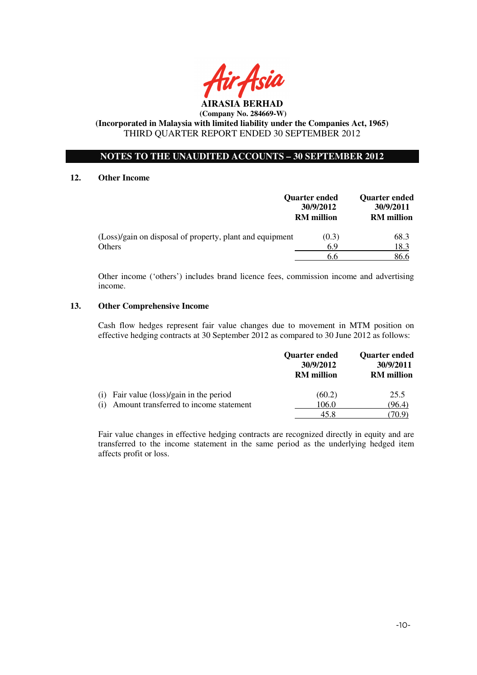

### **NOTES TO THE UNAUDITED ACCOUNTS – 30 SEPTEMBER 2012**

### **12. Other Income**

|                                                          | Quarter ended<br>30/9/2012<br><b>RM</b> million | <b>Quarter ended</b><br>30/9/2011<br><b>RM</b> million |
|----------------------------------------------------------|-------------------------------------------------|--------------------------------------------------------|
| (Loss)/gain on disposal of property, plant and equipment | (0.3)                                           | 68.3                                                   |
| Others                                                   | 6.9                                             | 18.3                                                   |
|                                                          | 6.6                                             | 86.6                                                   |

Other income ('others') includes brand licence fees, commission income and advertising income.

#### **13. Other Comprehensive Income**

Cash flow hedges represent fair value changes due to movement in MTM position on effective hedging contracts at 30 September 2012 as compared to 30 June 2012 as follows:

|                                               | <b>Ouarter ended</b><br>30/9/2012<br><b>RM</b> million | <b>Ouarter ended</b><br>30/9/2011<br><b>RM</b> million |
|-----------------------------------------------|--------------------------------------------------------|--------------------------------------------------------|
| Fair value (loss)/gain in the period<br>(1)   | (60.2)                                                 | 25.5                                                   |
| Amount transferred to income statement<br>(1) | 106.0                                                  | (96.4)                                                 |
|                                               | 45.8                                                   | 70.9                                                   |

Fair value changes in effective hedging contracts are recognized directly in equity and are transferred to the income statement in the same period as the underlying hedged item affects profit or loss.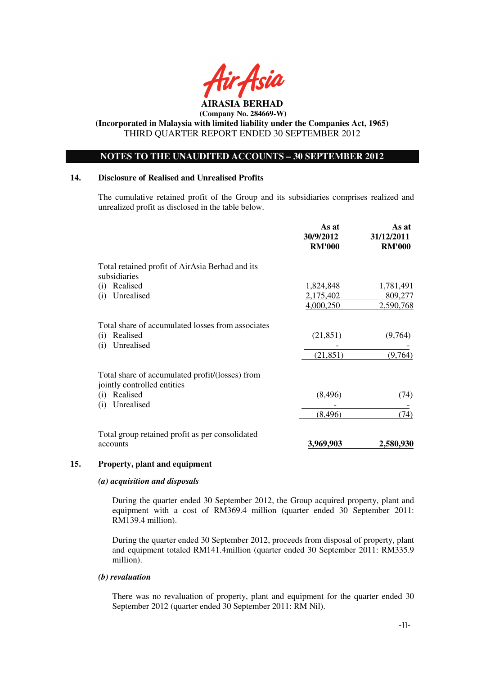

### **NOTES TO THE UNAUDITED ACCOUNTS – 30 SEPTEMBER 2012**

### **14. Disclosure of Realised and Unrealised Profits**

The cumulative retained profit of the Group and its subsidiaries comprises realized and unrealized profit as disclosed in the table below.

|                                                                                           | As at<br>30/9/2012<br><b>RM'000</b> | As at<br>31/12/2011<br><b>RM'000</b> |
|-------------------------------------------------------------------------------------------|-------------------------------------|--------------------------------------|
| Total retained profit of AirAsia Berhad and its                                           |                                     |                                      |
| subsidiaries                                                                              |                                     |                                      |
| Realised<br>(i)                                                                           | 1,824,848                           | 1,781,491                            |
| Unrealised<br>(i)                                                                         | 2,175,402<br>4,000,250              | 809,277<br>2,590,768                 |
| Total share of accumulated losses from associates<br>Realised<br>(i)<br>Unrealised<br>(i) | (21, 851)                           | (9,764)                              |
|                                                                                           | (21, 851)                           | (9,764)                              |
| Total share of accumulated profit/(losses) from<br>jointly controlled entities            |                                     |                                      |
| Realised<br>(i)                                                                           | (8, 496)                            | (74)                                 |
| Unrealised<br>(i)                                                                         |                                     |                                      |
|                                                                                           | (8, 496)                            | (74)                                 |
| Total group retained profit as per consolidated                                           |                                     |                                      |
| accounts                                                                                  | 3,969,903                           | 2,580,930                            |

#### **15. Property, plant and equipment**

#### *(a) acquisition and disposals*

During the quarter ended 30 September 2012, the Group acquired property, plant and equipment with a cost of RM369.4 million (quarter ended 30 September 2011: RM139.4 million).

During the quarter ended 30 September 2012, proceeds from disposal of property, plant and equipment totaled RM141.4million (quarter ended 30 September 2011: RM335.9 million).

#### *(b) revaluation*

There was no revaluation of property, plant and equipment for the quarter ended 30 September 2012 (quarter ended 30 September 2011: RM Nil).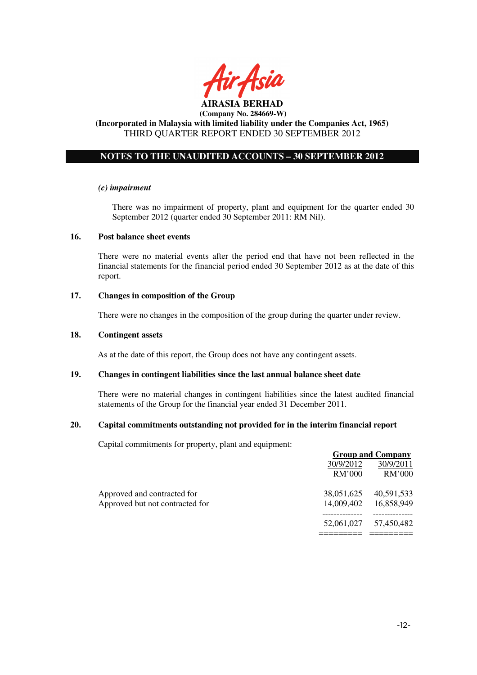

# **NOTES TO THE UNAUDITED ACCOUNTS – 30 SEPTEMBER 2012**

#### *(c) impairment*

There was no impairment of property, plant and equipment for the quarter ended 30 September 2012 (quarter ended 30 September 2011: RM Nil).

### **16. Post balance sheet events**

There were no material events after the period end that have not been reflected in the financial statements for the financial period ended 30 September 2012 as at the date of this report.

#### **17. Changes in composition of the Group**

There were no changes in the composition of the group during the quarter under review.

#### **18. Contingent assets**

As at the date of this report, the Group does not have any contingent assets.

### **19. Changes in contingent liabilities since the last annual balance sheet date**

There were no material changes in contingent liabilities since the latest audited financial statements of the Group for the financial year ended 31 December 2011.

#### **20. Capital commitments outstanding not provided for in the interim financial report**

Capital commitments for property, plant and equipment:

|                                 | <b>Group and Company</b> |            |
|---------------------------------|--------------------------|------------|
|                                 | 30/9/2012                | 30/9/2011  |
|                                 | <b>RM'000</b>            | RM'000     |
| Approved and contracted for     | 38,051,625               | 40,591,533 |
| Approved but not contracted for | 14,009,402               | 16,858,949 |
|                                 | 52,061,027               | 57.450.482 |
|                                 |                          |            |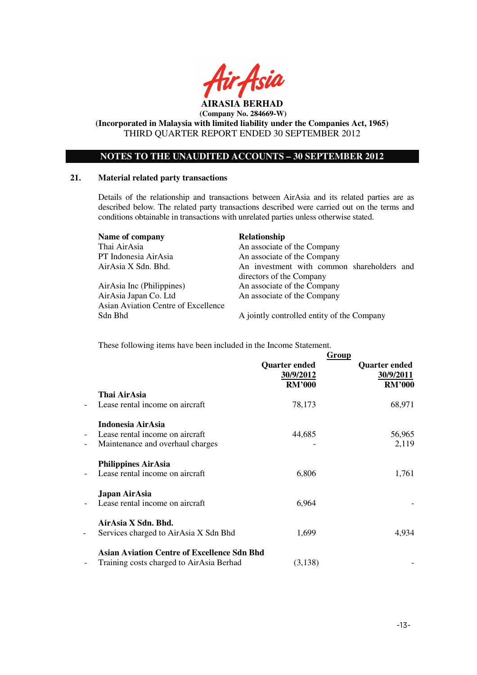

**(Incorporated in Malaysia with limited liability under the Companies Act, 1965)**  THIRD QUARTER REPORT ENDED 30 SEPTEMBER 2012

### **NOTES TO THE UNAUDITED ACCOUNTS – 30 SEPTEMBER 2012**

### **21. Material related party transactions**

Details of the relationship and transactions between AirAsia and its related parties are as described below. The related party transactions described were carried out on the terms and conditions obtainable in transactions with unrelated parties unless otherwise stated.

| Name of company                     | Relationship                               |
|-------------------------------------|--------------------------------------------|
| Thai AirAsia                        | An associate of the Company                |
| PT Indonesia AirAsia                | An associate of the Company                |
| AirAsia X Sdn. Bhd.                 | An investment with common shareholders and |
|                                     | directors of the Company                   |
| AirAsia Inc (Philippines)           | An associate of the Company                |
| AirAsia Japan Co. Ltd               | An associate of the Company                |
| Asian Aviation Centre of Excellence |                                            |

Sdn Bhd A jointly controlled entity of the Company

These following items have been included in the Income Statement.

|                          |                                                    |                                                    | Group                                              |
|--------------------------|----------------------------------------------------|----------------------------------------------------|----------------------------------------------------|
|                          |                                                    | <b>Quarter ended</b><br>30/9/2012<br><b>RM'000</b> | <b>Quarter ended</b><br>30/9/2011<br><b>RM'000</b> |
|                          | Thai AirAsia                                       |                                                    |                                                    |
| $\overline{\phantom{a}}$ | Lease rental income on aircraft                    | 78,173                                             | 68,971                                             |
|                          | <b>Indonesia AirAsia</b>                           |                                                    |                                                    |
| $\overline{\phantom{a}}$ | Lease rental income on aircraft                    | 44,685                                             | 56,965                                             |
| $\qquad \qquad -$        | Maintenance and overhaul charges                   |                                                    | 2,119                                              |
|                          | <b>Philippines AirAsia</b>                         |                                                    |                                                    |
| $\overline{\phantom{a}}$ | Lease rental income on aircraft                    | 6,806                                              | 1,761                                              |
|                          | Japan AirAsia                                      |                                                    |                                                    |
| $\qquad \qquad -$        | Lease rental income on aircraft                    | 6,964                                              |                                                    |
|                          | AirAsia X Sdn. Bhd.                                |                                                    |                                                    |
| -                        | Services charged to AirAsia X Sdn Bhd              | 1,699                                              | 4,934                                              |
|                          | <b>Asian Aviation Centre of Excellence Sdn Bhd</b> |                                                    |                                                    |
| $\overline{a}$           | Training costs charged to AirAsia Berhad           | (3,138)                                            |                                                    |
|                          |                                                    |                                                    |                                                    |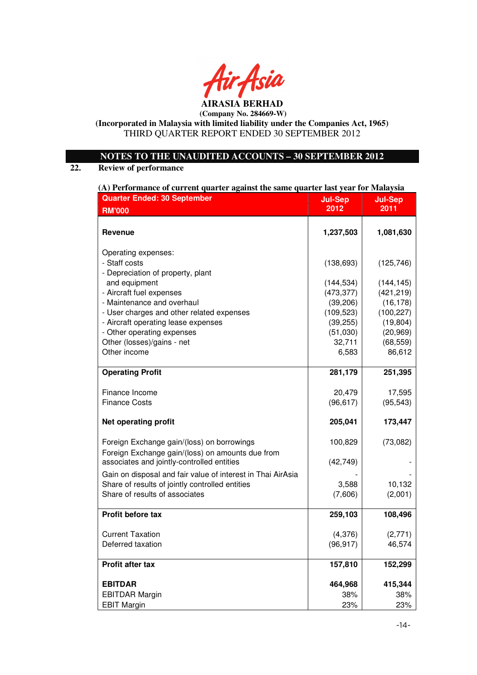

**AIRASIA BERHAD (Company No. 284669-W)** 

**(Incorporated in Malaysia with limited liability under the Companies Act, 1965)**  THIRD QUARTER REPORT ENDED 30 SEPTEMBER 2012

## **NOTES TO THE UNAUDITED ACCOUNTS – 30 SEPTEMBER 2012**

# **22. Review of performance**

**(A) Performance of current quarter against the same quarter last year for Malaysia**

| <b>Quarter Ended: 30 September</b>                                                             | <b>Jul-Sep</b> | <b>Jul-Sep</b> |
|------------------------------------------------------------------------------------------------|----------------|----------------|
| <b>RM'000</b>                                                                                  | 2012           | 2011           |
|                                                                                                |                |                |
| Revenue                                                                                        | 1,237,503      | 1,081,630      |
| Operating expenses:                                                                            |                |                |
| - Staff costs                                                                                  | (138, 693)     | (125, 746)     |
| - Depreciation of property, plant                                                              |                |                |
| and equipment                                                                                  | (144, 534)     | (144, 145)     |
| - Aircraft fuel expenses                                                                       | (473, 377)     | (421, 219)     |
| - Maintenance and overhaul                                                                     | (39, 206)      | (16, 178)      |
| - User charges and other related expenses                                                      | (109, 523)     | (100, 227)     |
| - Aircraft operating lease expenses                                                            | (39, 255)      | (19, 804)      |
| - Other operating expenses                                                                     | (51,030)       | (20, 969)      |
| Other (losses)/gains - net                                                                     | 32,711         | (68, 559)      |
| Other income                                                                                   | 6,583          | 86,612         |
| <b>Operating Profit</b>                                                                        | 281,179        | 251,395        |
| Finance Income                                                                                 | 20,479         | 17,595         |
| <b>Finance Costs</b>                                                                           | (96, 617)      | (95, 543)      |
| <b>Net operating profit</b>                                                                    | 205,041        | 173,447        |
| Foreign Exchange gain/(loss) on borrowings                                                     | 100,829        | (73,082)       |
| Foreign Exchange gain/(loss) on amounts due from<br>associates and jointly-controlled entities | (42, 749)      |                |
| Gain on disposal and fair value of interest in Thai AirAsia                                    |                |                |
| Share of results of jointly controlled entities                                                | 3,588          | 10,132         |
| Share of results of associates                                                                 | (7,606)        | (2,001)        |
| Profit before tax                                                                              | 259,103        | 108,496        |
|                                                                                                |                |                |
| <b>Current Taxation</b>                                                                        | (4,376)        | (2,771)        |
| Deferred taxation                                                                              | (96, 917)      | 46,574         |
| Profit after tax                                                                               | 157,810        | 152,299        |
| <b>EBITDAR</b>                                                                                 | 464,968        | 415,344        |
| <b>EBITDAR Margin</b>                                                                          | 38%            | 38%            |
| <b>EBIT Margin</b>                                                                             | 23%            | 23%            |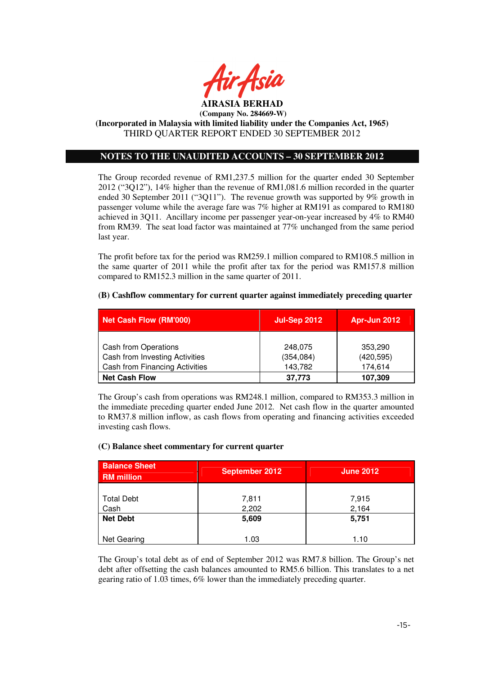

## **NOTES TO THE UNAUDITED ACCOUNTS – 30 SEPTEMBER 2012**

The Group recorded revenue of RM1,237.5 million for the quarter ended 30 September 2012 ("3Q12"), 14% higher than the revenue of RM1,081.6 million recorded in the quarter ended 30 September 2011 ("3Q11"). The revenue growth was supported by 9% growth in passenger volume while the average fare was 7% higher at RM191 as compared to RM180 achieved in 3Q11. Ancillary income per passenger year-on-year increased by 4% to RM40 from RM39. The seat load factor was maintained at 77% unchanged from the same period last year.

The profit before tax for the period was RM259.1 million compared to RM108.5 million in the same quarter of 2011 while the profit after tax for the period was RM157.8 million compared to RM152.3 million in the same quarter of 2011.

### **(B) Cashflow commentary for current quarter against immediately preceding quarter**

| <b>Net Cash Flow (RM'000)</b>                                                                   | <b>Jul-Sep 2012</b>              | Apr-Jun 2012                     |
|-------------------------------------------------------------------------------------------------|----------------------------------|----------------------------------|
| Cash from Operations<br>Cash from Investing Activities<br><b>Cash from Financing Activities</b> | 248.075<br>(354, 084)<br>143,782 | 353,290<br>(420, 595)<br>174,614 |
| <b>Net Cash Flow</b>                                                                            | 37,773                           | 107,309                          |

The Group's cash from operations was RM248.1 million, compared to RM353.3 million in the immediate preceding quarter ended June 2012. Net cash flow in the quarter amounted to RM37.8 million inflow, as cash flows from operating and financing activities exceeded investing cash flows.

### **(C) Balance sheet commentary for current quarter**

| <b>Balance Sheet</b><br><b>RM</b> million | <b>September 2012</b> | <b>June 2012</b> |
|-------------------------------------------|-----------------------|------------------|
|                                           |                       |                  |
| <b>Total Debt</b>                         | 7,811                 | 7,915            |
| Cash                                      | 2,202                 | 2,164            |
| <b>Net Debt</b>                           | 5,609                 | 5,751            |
|                                           |                       |                  |
| Net Gearing                               | 1.03                  | 1.10             |

The Group's total debt as of end of September 2012 was RM7.8 billion. The Group's net debt after offsetting the cash balances amounted to RM5.6 billion. This translates to a net gearing ratio of 1.03 times, 6% lower than the immediately preceding quarter.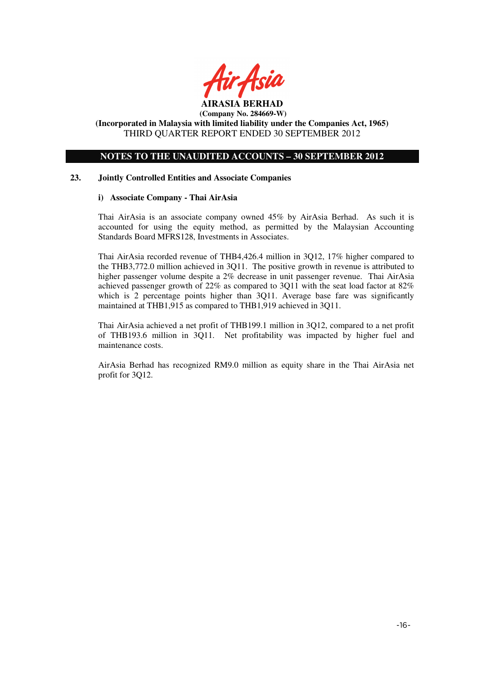

# **NOTES TO THE UNAUDITED ACCOUNTS – 30 SEPTEMBER 2012**

### **23. Jointly Controlled Entities and Associate Companies**

### **i) Associate Company - Thai AirAsia**

Thai AirAsia is an associate company owned 45% by AirAsia Berhad. As such it is accounted for using the equity method, as permitted by the Malaysian Accounting Standards Board MFRS128, Investments in Associates.

Thai AirAsia recorded revenue of THB4,426.4 million in 3Q12, 17% higher compared to the THB3,772.0 million achieved in 3Q11. The positive growth in revenue is attributed to higher passenger volume despite a 2% decrease in unit passenger revenue. Thai AirAsia achieved passenger growth of 22% as compared to 3Q11 with the seat load factor at 82% which is 2 percentage points higher than 3O11. Average base fare was significantly maintained at THB1,915 as compared to THB1,919 achieved in 3Q11.

Thai AirAsia achieved a net profit of THB199.1 million in 3Q12, compared to a net profit of THB193.6 million in 3Q11. Net profitability was impacted by higher fuel and maintenance costs.

AirAsia Berhad has recognized RM9.0 million as equity share in the Thai AirAsia net profit for 3Q12.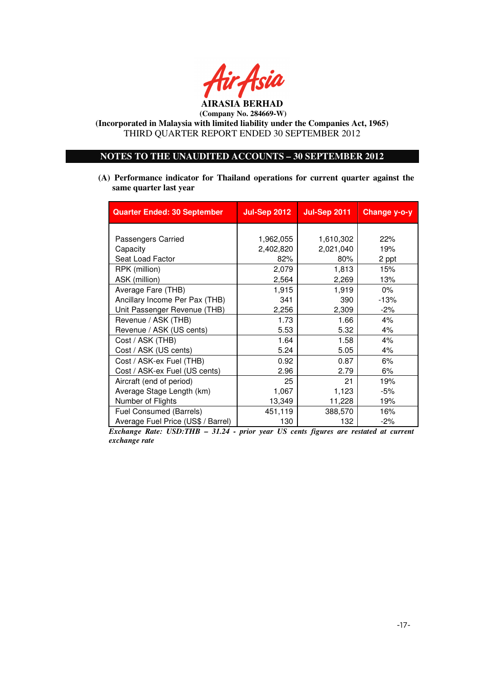

### **NOTES TO THE UNAUDITED ACCOUNTS – 30 SEPTEMBER 2012**

**(A) Performance indicator for Thailand operations for current quarter against the same quarter last year**

| <b>Quarter Ended: 30 September</b> | <b>Jul-Sep 2012</b> | <b>Jul-Sep 2011</b> | <b>Change y-o-y</b> |
|------------------------------------|---------------------|---------------------|---------------------|
|                                    |                     |                     |                     |
| Passengers Carried                 | 1,962,055           | 1,610,302           | 22%                 |
| Capacity                           | 2,402,820           | 2,021,040           | 19%                 |
| Seat Load Factor                   | 82%                 | 80%                 | 2 ppt               |
| RPK (million)                      | 2,079               | 1,813               | 15%                 |
| ASK (million)                      | 2,564               | 2,269               | 13%                 |
| Average Fare (THB)                 | 1,915               | 1,919               | $0\%$               |
| Ancillary Income Per Pax (THB)     | 341                 | 390                 | $-13%$              |
| Unit Passenger Revenue (THB)       | 2,256               | 2,309               | $-2\%$              |
| Revenue / ASK (THB)                | 1.73                | 1.66                | 4%                  |
| Revenue / ASK (US cents)           | 5.53                | 5.32                | 4%                  |
| Cost / ASK (THB)                   | 1.64                | 1.58                | 4%                  |
| Cost / ASK (US cents)              | 5.24                | 5.05                | 4%                  |
| Cost / ASK-ex Fuel (THB)           | 0.92                | 0.87                | 6%                  |
| Cost / ASK-ex Fuel (US cents)      | 2.96                | 2.79                | 6%                  |
| Aircraft (end of period)           | 25                  | 21                  | 19%                 |
| Average Stage Length (km)          | 1,067               | 1,123               | $-5%$               |
| Number of Flights                  | 13,349              | 11,228              | 19%                 |
| Fuel Consumed (Barrels)            | 451,119             | 388,570             | 16%                 |
| Average Fuel Price (US\$ / Barrel) | 130                 | 132                 | $-2%$               |

*Exchange Rate: USD:THB – 31.24 - prior year US cents figures are restated at current exchange rate*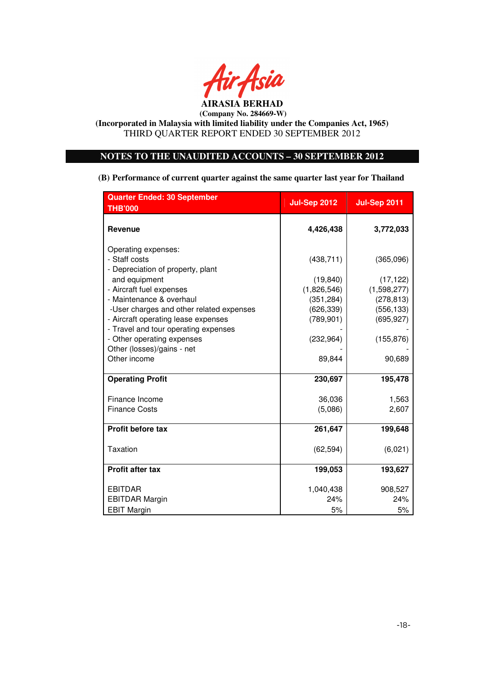

### **NOTES TO THE UNAUDITED ACCOUNTS – 30 SEPTEMBER 2012**

**(B) Performance of current quarter against the same quarter last year for Thailand** 

| <b>Quarter Ended: 30 September</b>       | <b>Jul-Sep 2012</b> | <b>Jul-Sep 2011</b> |
|------------------------------------------|---------------------|---------------------|
| <b>THB'000</b>                           |                     |                     |
| <b>Revenue</b>                           | 4,426,438           | 3,772,033           |
| Operating expenses:                      |                     |                     |
| - Staff costs                            | (438, 711)          | (365,096)           |
| - Depreciation of property, plant        |                     |                     |
| and equipment                            | (19, 840)           | (17, 122)           |
| - Aircraft fuel expenses                 | (1,826,546)         | (1,598,277)         |
| - Maintenance & overhaul                 | (351, 284)          | (278, 813)          |
| -User charges and other related expenses | (626, 339)          | (556, 133)          |
| - Aircraft operating lease expenses      | (789, 901)          | (695, 927)          |
| - Travel and tour operating expenses     |                     |                     |
| - Other operating expenses               | (232, 964)          | (155, 876)          |
| Other (losses)/gains - net               |                     |                     |
| Other income                             | 89,844              | 90,689              |
| <b>Operating Profit</b>                  | 230,697             | 195,478             |
| Finance Income                           | 36,036              | 1,563               |
| <b>Finance Costs</b>                     | (5,086)             | 2,607               |
| Profit before tax                        | 261,647             | 199,648             |
| Taxation                                 | (62, 594)           | (6,021)             |
| <b>Profit after tax</b>                  | 199,053             | 193,627             |
| <b>EBITDAR</b>                           | 1,040,438           | 908,527             |
| <b>EBITDAR Margin</b>                    | 24%                 | 24%                 |
| <b>EBIT Margin</b>                       | 5%                  | 5%                  |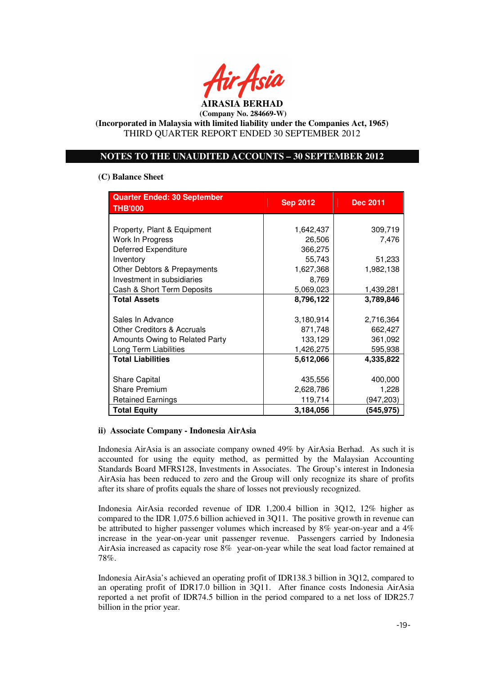

### **NOTES TO THE UNAUDITED ACCOUNTS – 30 SEPTEMBER 2012**

### **(C) Balance Sheet**

| <b>Quarter Ended: 30 September</b><br><b>THB'000</b> | <b>Sep 2012</b> | <b>Dec 2011</b> |
|------------------------------------------------------|-----------------|-----------------|
|                                                      |                 |                 |
| Property, Plant & Equipment                          | 1,642,437       | 309,719         |
| Work In Progress                                     | 26,506          | 7,476           |
| Deferred Expenditure                                 | 366,275         |                 |
| Inventory                                            | 55,743          | 51,233          |
| Other Debtors & Prepayments                          | 1,627,368       | 1,982,138       |
| Investment in subsidiaries                           | 8,769           |                 |
| Cash & Short Term Deposits                           | 5,069,023       | 1,439,281       |
| <b>Total Assets</b>                                  | 8,796,122       | 3,789,846       |
|                                                      |                 |                 |
| Sales In Advance                                     | 3,180,914       | 2,716,364       |
| <b>Other Creditors &amp; Accruals</b>                | 871,748         | 662,427         |
| Amounts Owing to Related Party                       | 133,129         | 361,092         |
| Long Term Liabilities                                | 1,426,275       | 595,938         |
| <b>Total Liabilities</b>                             | 5,612,066       | 4,335,822       |
|                                                      |                 |                 |
| <b>Share Capital</b>                                 | 435,556         | 400,000         |
| <b>Share Premium</b>                                 | 2,628,786       | 1,228           |
| <b>Retained Earnings</b>                             | 119,714         | (947,203)       |
| <b>Total Equity</b>                                  | 3,184,056       | (545, 975)      |

### **ii) Associate Company - Indonesia AirAsia**

Indonesia AirAsia is an associate company owned 49% by AirAsia Berhad. As such it is accounted for using the equity method, as permitted by the Malaysian Accounting Standards Board MFRS128, Investments in Associates. The Group's interest in Indonesia AirAsia has been reduced to zero and the Group will only recognize its share of profits after its share of profits equals the share of losses not previously recognized.

Indonesia AirAsia recorded revenue of IDR 1,200.4 billion in 3Q12, 12% higher as compared to the IDR 1,075.6 billion achieved in 3Q11. The positive growth in revenue can be attributed to higher passenger volumes which increased by 8% year-on-year and a 4% increase in the year-on-year unit passenger revenue. Passengers carried by Indonesia AirAsia increased as capacity rose 8% year-on-year while the seat load factor remained at 78%.

Indonesia AirAsia's achieved an operating profit of IDR138.3 billion in 3Q12, compared to an operating profit of IDR17.0 billion in 3Q11. After finance costs Indonesia AirAsia reported a net profit of IDR74.5 billion in the period compared to a net loss of IDR25.7 billion in the prior year.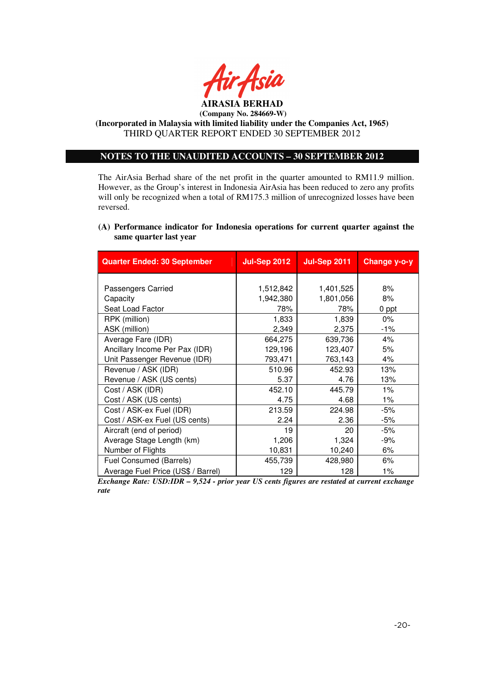

**(Incorporated in Malaysia with limited liability under the Companies Act, 1965)**  THIRD QUARTER REPORT ENDED 30 SEPTEMBER 2012

## **NOTES TO THE UNAUDITED ACCOUNTS – 30 SEPTEMBER 2012**

The AirAsia Berhad share of the net profit in the quarter amounted to RM11.9 million. However, as the Group's interest in Indonesia AirAsia has been reduced to zero any profits will only be recognized when a total of RM175.3 million of unrecognized losses have been reversed.

### **(A) Performance indicator for Indonesia operations for current quarter against the same quarter last year**

| <b>Quarter Ended: 30 September</b> | <b>Jul-Sep 2012</b> | <b>Jul-Sep 2011</b> | Change y-o-y |
|------------------------------------|---------------------|---------------------|--------------|
|                                    |                     |                     |              |
| Passengers Carried                 | 1,512,842           | 1,401,525           | 8%           |
| Capacity                           | 1,942,380           | 1,801,056           | 8%           |
| Seat Load Factor                   | 78%                 | 78%                 | 0 ppt        |
| RPK (million)                      | 1,833               | 1,839               | $0\%$        |
| ASK (million)                      | 2,349               | 2,375               | -1%          |
| Average Fare (IDR)                 | 664,275             | 639,736             | 4%           |
| Ancillary Income Per Pax (IDR)     | 129,196             | 123,407             | 5%           |
| Unit Passenger Revenue (IDR)       | 793,471             | 763,143             | 4%           |
| Revenue / ASK (IDR)                | 510.96              | 452.93              | 13%          |
| Revenue / ASK (US cents)           | 5.37                | 4.76                | 13%          |
| Cost / ASK (IDR)                   | 452.10              | 445.79              | $1\%$        |
| Cost / ASK (US cents)              | 4.75                | 4.68                | 1%           |
| Cost / ASK-ex Fuel (IDR)           | 213.59              | 224.98              | -5%          |
| Cost / ASK-ex Fuel (US cents)      | 2.24                | 2.36                | -5%          |
| Aircraft (end of period)           | 19                  | 20                  | $-5%$        |
| Average Stage Length (km)          | 1,206               | 1,324               | -9%          |
| Number of Flights                  | 10,831              | 10,240              | 6%           |
| Fuel Consumed (Barrels)            | 455,739             | 428,980             | 6%           |
| Average Fuel Price (US\$ / Barrel) | 129                 | 128                 | 1%           |

*Exchange Rate: USD:IDR – 9,524 - prior year US cents figures are restated at current exchange rate*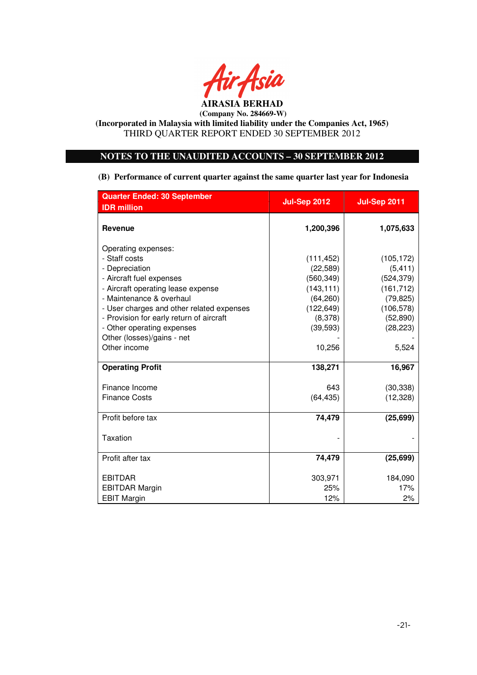

### **NOTES TO THE UNAUDITED ACCOUNTS – 30 SEPTEMBER 2012**

**(B) Performance of current quarter against the same quarter last year for Indonesia** 

| <b>Quarter Ended: 30 September</b>                                                                                                                                                                                                                                          | <b>Jul-Sep 2012</b>                                                                                    | <b>Jul-Sep 2011</b>                                                                                     |
|-----------------------------------------------------------------------------------------------------------------------------------------------------------------------------------------------------------------------------------------------------------------------------|--------------------------------------------------------------------------------------------------------|---------------------------------------------------------------------------------------------------------|
| <b>IDR</b> million                                                                                                                                                                                                                                                          |                                                                                                        |                                                                                                         |
| <b>Revenue</b>                                                                                                                                                                                                                                                              | 1,200,396                                                                                              | 1,075,633                                                                                               |
| Operating expenses:<br>- Staff costs<br>- Depreciation<br>- Aircraft fuel expenses<br>- Aircraft operating lease expense<br>- Maintenance & overhaul<br>- User charges and other related expenses<br>- Provision for early return of aircraft<br>- Other operating expenses | (111, 452)<br>(22, 589)<br>(560, 349)<br>(143, 111)<br>(64, 260)<br>(122, 649)<br>(8,378)<br>(39, 593) | (105, 172)<br>(5, 411)<br>(524, 379)<br>(161, 712)<br>(79, 825)<br>(106, 578)<br>(52, 890)<br>(28, 223) |
| Other (losses)/gains - net<br>Other income                                                                                                                                                                                                                                  | 10,256                                                                                                 | 5,524                                                                                                   |
| <b>Operating Profit</b>                                                                                                                                                                                                                                                     | 138,271                                                                                                | 16,967                                                                                                  |
| Finance Income<br><b>Finance Costs</b>                                                                                                                                                                                                                                      | 643<br>(64, 435)                                                                                       | (30, 338)<br>(12, 328)                                                                                  |
| Profit before tax                                                                                                                                                                                                                                                           | 74,479                                                                                                 | (25, 699)                                                                                               |
| Taxation                                                                                                                                                                                                                                                                    |                                                                                                        |                                                                                                         |
| Profit after tax                                                                                                                                                                                                                                                            | 74,479                                                                                                 | (25, 699)                                                                                               |
| <b>EBITDAR</b><br><b>EBITDAR Margin</b><br><b>EBIT Margin</b>                                                                                                                                                                                                               | 303,971<br>25%<br>12%                                                                                  | 184,090<br>17%<br>2%                                                                                    |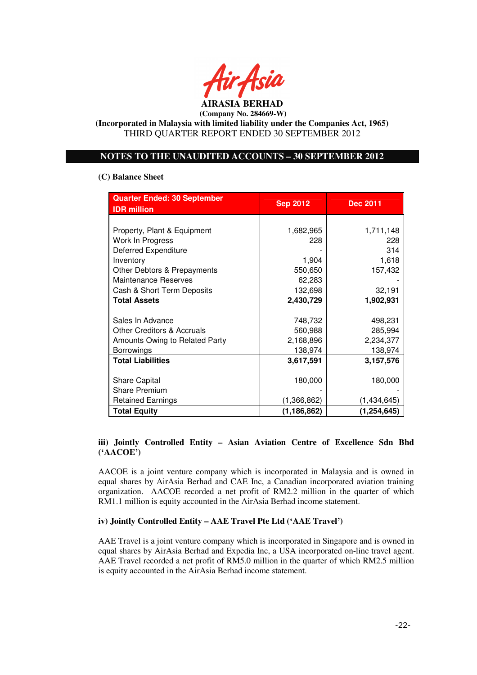

### **NOTES TO THE UNAUDITED ACCOUNTS – 30 SEPTEMBER 2012**

### **(C) Balance Sheet**

| <b>Quarter Ended: 30 September</b>    | <b>Sep 2012</b> | <b>Dec 2011</b> |  |
|---------------------------------------|-----------------|-----------------|--|
| <b>IDR</b> million                    |                 |                 |  |
|                                       |                 |                 |  |
| Property, Plant & Equipment           | 1,682,965       | 1,711,148       |  |
| Work In Progress                      | 228             | 228             |  |
| Deferred Expenditure                  |                 | 314             |  |
| Inventory                             | 1,904           | 1,618           |  |
| Other Debtors & Prepayments           | 550,650         | 157,432         |  |
| <b>Maintenance Reserves</b>           | 62,283          |                 |  |
| Cash & Short Term Deposits            | 132,698         | 32,191          |  |
| <b>Total Assets</b>                   | 2,430,729       | 1,902,931       |  |
|                                       |                 |                 |  |
| Sales In Advance                      | 748,732         | 498,231         |  |
| <b>Other Creditors &amp; Accruals</b> | 560,988         | 285,994         |  |
| Amounts Owing to Related Party        | 2,168,896       | 2,234,377       |  |
| <b>Borrowings</b>                     | 138,974         | 138,974         |  |
| <b>Total Liabilities</b>              | 3,617,591       | 3,157,576       |  |
|                                       |                 |                 |  |
| Share Capital                         | 180,000         | 180,000         |  |
| <b>Share Premium</b>                  |                 |                 |  |
| <b>Retained Earnings</b>              | (1,366,862)     | (1,434,645)     |  |
| <b>Total Equity</b>                   | (1, 186, 862)   | (1, 254, 645)   |  |

# **iii) Jointly Controlled Entity – Asian Aviation Centre of Excellence Sdn Bhd ('AACOE')**

AACOE is a joint venture company which is incorporated in Malaysia and is owned in equal shares by AirAsia Berhad and CAE Inc, a Canadian incorporated aviation training organization. AACOE recorded a net profit of RM2.2 million in the quarter of which RM1.1 million is equity accounted in the AirAsia Berhad income statement.

### **iv) Jointly Controlled Entity – AAE Travel Pte Ltd ('AAE Travel')**

AAE Travel is a joint venture company which is incorporated in Singapore and is owned in equal shares by AirAsia Berhad and Expedia Inc, a USA incorporated on-line travel agent. AAE Travel recorded a net profit of RM5.0 million in the quarter of which RM2.5 million is equity accounted in the AirAsia Berhad income statement.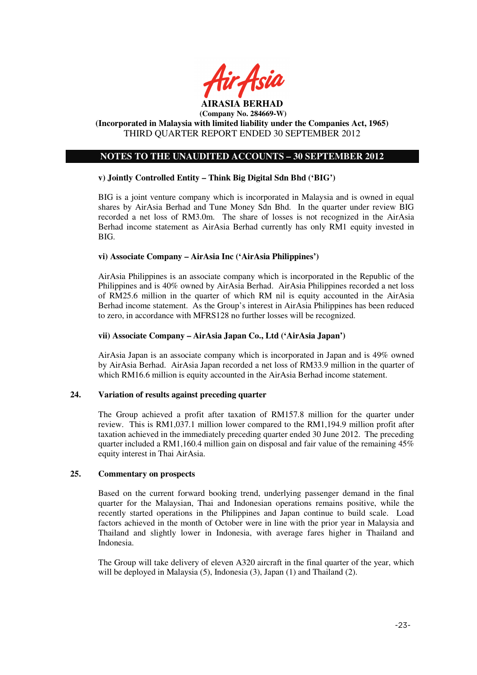

## **NOTES TO THE UNAUDITED ACCOUNTS – 30 SEPTEMBER 2012**

### **v) Jointly Controlled Entity – Think Big Digital Sdn Bhd ('BIG')**

BIG is a joint venture company which is incorporated in Malaysia and is owned in equal shares by AirAsia Berhad and Tune Money Sdn Bhd. In the quarter under review BIG recorded a net loss of RM3.0m. The share of losses is not recognized in the AirAsia Berhad income statement as AirAsia Berhad currently has only RM1 equity invested in BIG.

#### **vi) Associate Company – AirAsia Inc ('AirAsia Philippines')**

AirAsia Philippines is an associate company which is incorporated in the Republic of the Philippines and is 40% owned by AirAsia Berhad. AirAsia Philippines recorded a net loss of RM25.6 million in the quarter of which RM nil is equity accounted in the AirAsia Berhad income statement. As the Group's interest in AirAsia Philippines has been reduced to zero, in accordance with MFRS128 no further losses will be recognized.

### **vii) Associate Company – AirAsia Japan Co., Ltd ('AirAsia Japan')**

AirAsia Japan is an associate company which is incorporated in Japan and is 49% owned by AirAsia Berhad. AirAsia Japan recorded a net loss of RM33.9 million in the quarter of which RM16.6 million is equity accounted in the AirAsia Berhad income statement.

### **24. Variation of results against preceding quarter**

The Group achieved a profit after taxation of RM157.8 million for the quarter under review. This is RM1,037.1 million lower compared to the RM1,194.9 million profit after taxation achieved in the immediately preceding quarter ended 30 June 2012. The preceding quarter included a RM1,160.4 million gain on disposal and fair value of the remaining 45% equity interest in Thai AirAsia.

### **25. Commentary on prospects**

Based on the current forward booking trend, underlying passenger demand in the final quarter for the Malaysian, Thai and Indonesian operations remains positive, while the recently started operations in the Philippines and Japan continue to build scale. Load factors achieved in the month of October were in line with the prior year in Malaysia and Thailand and slightly lower in Indonesia, with average fares higher in Thailand and Indonesia.

The Group will take delivery of eleven A320 aircraft in the final quarter of the year, which will be deployed in Malaysia (5), Indonesia (3), Japan (1) and Thailand (2).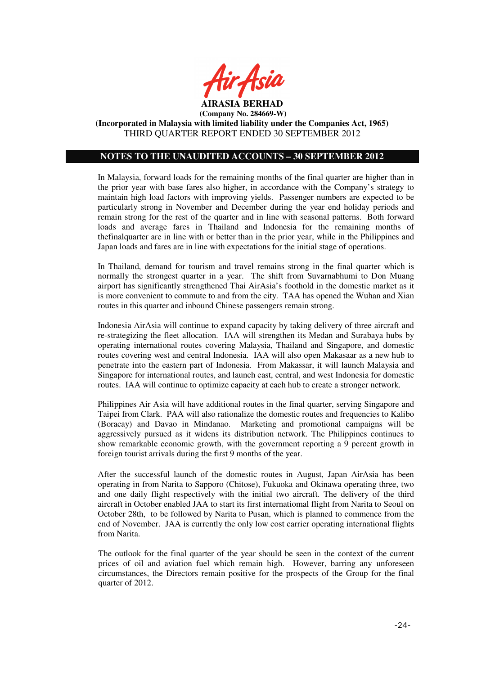

### **NOTES TO THE UNAUDITED ACCOUNTS – 30 SEPTEMBER 2012**

In Malaysia, forward loads for the remaining months of the final quarter are higher than in the prior year with base fares also higher, in accordance with the Company's strategy to maintain high load factors with improving yields. Passenger numbers are expected to be particularly strong in November and December during the year end holiday periods and remain strong for the rest of the quarter and in line with seasonal patterns. Both forward loads and average fares in Thailand and Indonesia for the remaining months of thefinalquarter are in line with or better than in the prior year, while in the Philippines and Japan loads and fares are in line with expectations for the initial stage of operations.

In Thailand, demand for tourism and travel remains strong in the final quarter which is normally the strongest quarter in a year. The shift from Suvarnabhumi to Don Muang airport has significantly strengthened Thai AirAsia's foothold in the domestic market as it is more convenient to commute to and from the city. TAA has opened the Wuhan and Xian routes in this quarter and inbound Chinese passengers remain strong.

Indonesia AirAsia will continue to expand capacity by taking delivery of three aircraft and re-strategizing the fleet allocation. IAA will strengthen its Medan and Surabaya hubs by operating international routes covering Malaysia, Thailand and Singapore, and domestic routes covering west and central Indonesia. IAA will also open Makasaar as a new hub to penetrate into the eastern part of Indonesia. From Makassar, it will launch Malaysia and Singapore for international routes, and launch east, central, and west Indonesia for domestic routes. IAA will continue to optimize capacity at each hub to create a stronger network.

Philippines Air Asia will have additional routes in the final quarter, serving Singapore and Taipei from Clark. PAA will also rationalize the domestic routes and frequencies to Kalibo (Boracay) and Davao in Mindanao. Marketing and promotional campaigns will be aggressively pursued as it widens its distribution network. The Philippines continues to show remarkable economic growth, with the government reporting a 9 percent growth in foreign tourist arrivals during the first 9 months of the year.

After the successful launch of the domestic routes in August, Japan AirAsia has been operating in from Narita to Sapporo (Chitose), Fukuoka and Okinawa operating three, two and one daily flight respectively with the initial two aircraft. The delivery of the third aircraft in October enabled JAA to start its first internatiomal flight from Narita to Seoul on October 28th, to be followed by Narita to Pusan, which is planned to commence from the end of November. JAA is currently the only low cost carrier operating international flights from Narita.

The outlook for the final quarter of the year should be seen in the context of the current prices of oil and aviation fuel which remain high. However, barring any unforeseen circumstances, the Directors remain positive for the prospects of the Group for the final quarter of 2012.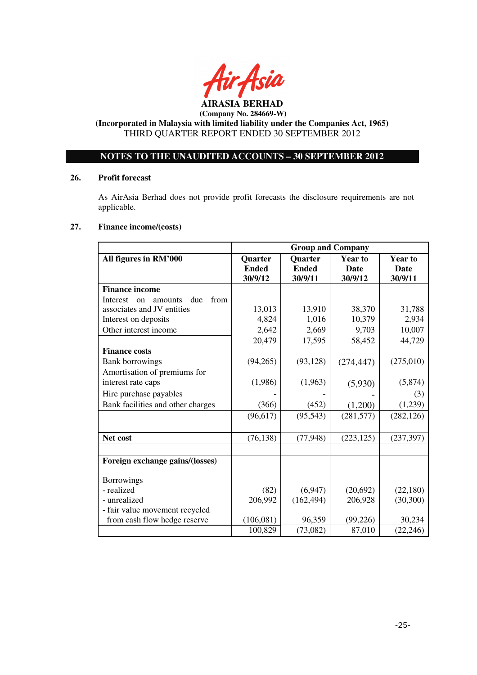

**(Incorporated in Malaysia with limited liability under the Companies Act, 1965)**  THIRD QUARTER REPORT ENDED 30 SEPTEMBER 2012

## **NOTES TO THE UNAUDITED ACCOUNTS – 30 SEPTEMBER 2012**

### **26. Profit forecast**

As AirAsia Berhad does not provide profit forecasts the disclosure requirements are not applicable.

### **27. Finance income/(costs)**

|                                          | <b>Group and Company</b>         |              |                |                |
|------------------------------------------|----------------------------------|--------------|----------------|----------------|
| All figures in RM'000                    | <b>Quarter</b><br><b>Quarter</b> |              | <b>Year to</b> | <b>Year to</b> |
|                                          | <b>Ended</b>                     | <b>Ended</b> | Date           | <b>Date</b>    |
|                                          | 30/9/12                          | 30/9/11      | 30/9/12        | 30/9/11        |
| <b>Finance income</b>                    |                                  |              |                |                |
| Interest<br>due<br>from<br>amounts<br>on |                                  |              |                |                |
| associates and JV entities               | 13,013                           | 13,910       | 38,370         | 31,788         |
| Interest on deposits                     | 4,824                            | 1,016        | 10,379         | 2,934          |
| Other interest income                    | 2,642                            | 2,669        | 9,703          | 10,007         |
|                                          | 20,479                           | 17,595       | 58,452         | 44,729         |
| <b>Finance costs</b>                     |                                  |              |                |                |
| <b>Bank borrowings</b>                   | (94,265)                         | (93, 128)    | (274, 447)     | (275,010)      |
| Amortisation of premiums for             |                                  |              |                |                |
| interest rate caps                       | (1,986)                          | (1,963)      | (5,930)        | (5,874)        |
| Hire purchase payables                   |                                  |              |                | (3)            |
| Bank facilities and other charges        | (366)                            | (452)        | (1,200)        | (1,239)        |
|                                          | (96, 617)                        | (95, 543)    | (281, 577)     | (282, 126)     |
|                                          |                                  |              |                |                |
| Net cost                                 | (76, 138)                        | (77, 948)    | (223, 125)     | (237, 397)     |
|                                          |                                  |              |                |                |
| Foreign exchange gains/(losses)          |                                  |              |                |                |
| <b>Borrowings</b>                        |                                  |              |                |                |
| - realized                               | (82)                             | (6,947)      | (20,692)       | (22, 180)      |
| - unrealized                             | 206,992                          | (162, 494)   | 206,928        | (30, 300)      |
| - fair value movement recycled           |                                  |              |                |                |
| from cash flow hedge reserve             | (106, 081)                       | 96,359       | (99, 226)      | 30,234         |
|                                          | 100,829                          | (73,082)     | 87,010         | (22, 246)      |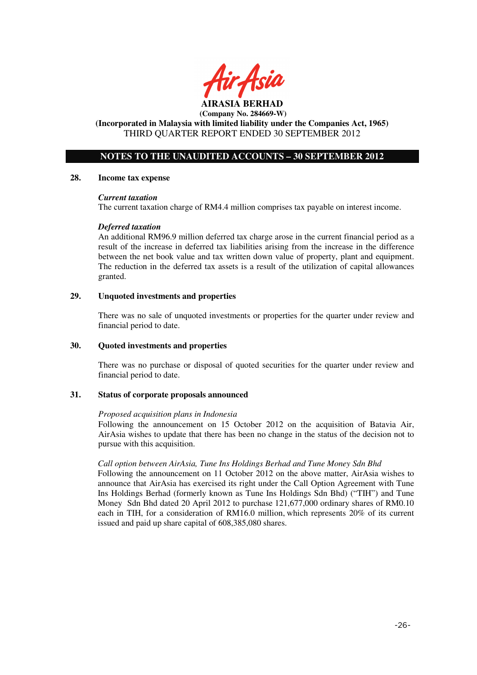

# **NOTES TO THE UNAUDITED ACCOUNTS – 30 SEPTEMBER 2012**

#### **28. Income tax expense**

### *Current taxation*

The current taxation charge of RM4.4 million comprises tax payable on interest income.

### *Deferred taxation*

An additional RM96.9 million deferred tax charge arose in the current financial period as a result of the increase in deferred tax liabilities arising from the increase in the difference between the net book value and tax written down value of property, plant and equipment. The reduction in the deferred tax assets is a result of the utilization of capital allowances granted.

### **29. Unquoted investments and properties**

There was no sale of unquoted investments or properties for the quarter under review and financial period to date.

### **30. Quoted investments and properties**

There was no purchase or disposal of quoted securities for the quarter under review and financial period to date.

#### **31. Status of corporate proposals announced**

#### *Proposed acquisition plans in Indonesia*

Following the announcement on 15 October 2012 on the acquisition of Batavia Air, AirAsia wishes to update that there has been no change in the status of the decision not to pursue with this acquisition.

### *Call option between AirAsia, Tune Ins Holdings Berhad and Tune Money Sdn Bhd*

Following the announcement on 11 October 2012 on the above matter, AirAsia wishes to announce that AirAsia has exercised its right under the Call Option Agreement with Tune Ins Holdings Berhad (formerly known as Tune Ins Holdings Sdn Bhd) ("TIH") and Tune Money Sdn Bhd dated 20 April 2012 to purchase 121,677,000 ordinary shares of RM0.10 each in TIH, for a consideration of RM16.0 million, which represents 20% of its current issued and paid up share capital of 608,385,080 shares.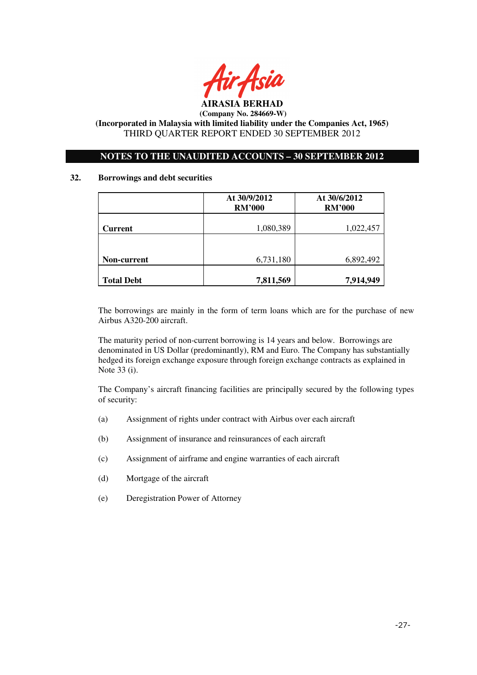

### **NOTES TO THE UNAUDITED ACCOUNTS – 30 SEPTEMBER 2012**

### **32. Borrowings and debt securities**

|                   | At 30/9/2012<br><b>RM'000</b> | At 30/6/2012<br><b>RM'000</b> |  |
|-------------------|-------------------------------|-------------------------------|--|
| <b>Current</b>    | 1,080,389                     | 1,022,457                     |  |
|                   |                               |                               |  |
| Non-current       | 6,731,180                     | 6,892,492                     |  |
| <b>Total Debt</b> | 7,811,569                     | 7,914,949                     |  |

The borrowings are mainly in the form of term loans which are for the purchase of new Airbus A320-200 aircraft.

The maturity period of non-current borrowing is 14 years and below. Borrowings are denominated in US Dollar (predominantly), RM and Euro. The Company has substantially hedged its foreign exchange exposure through foreign exchange contracts as explained in Note 33 (i).

The Company's aircraft financing facilities are principally secured by the following types of security:

- (a) Assignment of rights under contract with Airbus over each aircraft
- (b) Assignment of insurance and reinsurances of each aircraft
- (c) Assignment of airframe and engine warranties of each aircraft
- (d) Mortgage of the aircraft
- (e) Deregistration Power of Attorney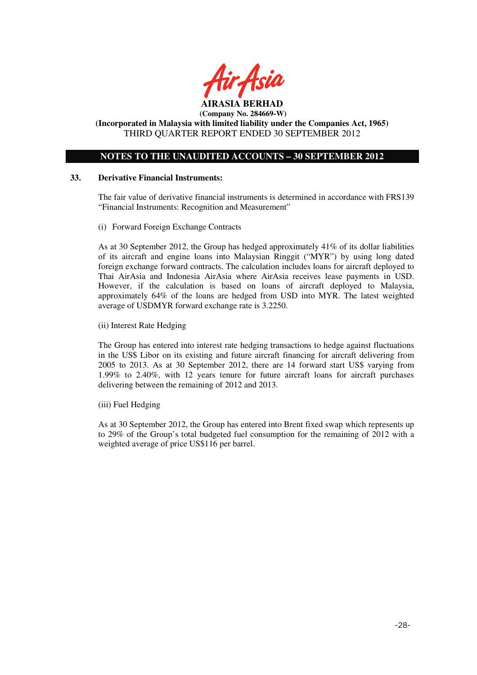

**(Incorporated in Malaysia with limited liability under the Companies Act, 1965)**  THIRD QUARTER REPORT ENDED 30 SEPTEMBER 2012

### **NOTES TO THE UNAUDITED ACCOUNTS – 30 SEPTEMBER 2012**

### **33. Derivative Financial Instruments:**

The fair value of derivative financial instruments is determined in accordance with FRS139 "Financial Instruments: Recognition and Measurement"

(i) Forward Foreign Exchange Contracts

As at 30 September 2012, the Group has hedged approximately 41% of its dollar liabilities of its aircraft and engine loans into Malaysian Ringgit ("MYR") by using long dated foreign exchange forward contracts. The calculation includes loans for aircraft deployed to Thai AirAsia and Indonesia AirAsia where AirAsia receives lease payments in USD. However, if the calculation is based on loans of aircraft deployed to Malaysia, approximately 64% of the loans are hedged from USD into MYR. The latest weighted average of USDMYR forward exchange rate is 3.2250.

(ii) Interest Rate Hedging

The Group has entered into interest rate hedging transactions to hedge against fluctuations in the US\$ Libor on its existing and future aircraft financing for aircraft delivering from 2005 to 2013. As at 30 September 2012, there are 14 forward start US\$ varying from 1.99% to 2.40%, with 12 years tenure for future aircraft loans for aircraft purchases delivering between the remaining of 2012 and 2013.

(iii) Fuel Hedging

As at 30 September 2012, the Group has entered into Brent fixed swap which represents up to 29% of the Group's total budgeted fuel consumption for the remaining of 2012 with a weighted average of price US\$116 per barrel.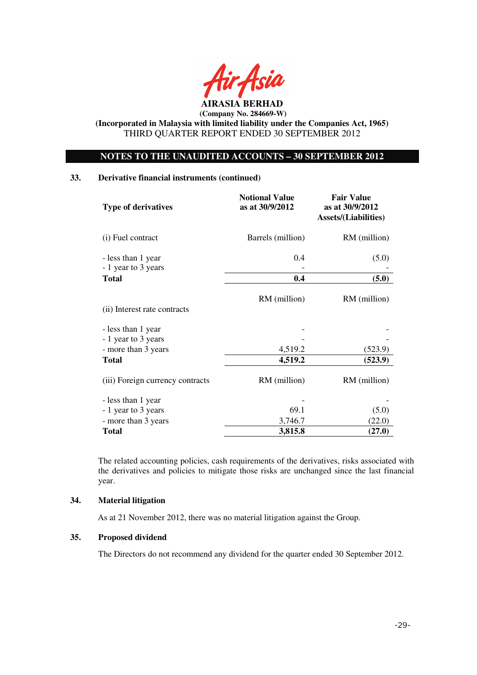

**(Incorporated in Malaysia with limited liability under the Companies Act, 1965)**  THIRD QUARTER REPORT ENDED 30 SEPTEMBER 2012

### **NOTES TO THE UNAUDITED ACCOUNTS – 30 SEPTEMBER 2012**

### **33. Derivative financial instruments (continued)**

| <b>Type of derivatives</b>                | <b>Notional Value</b><br>as at 30/9/2012 | <b>Fair Value</b><br>as at 30/9/2012<br><b>Assets/(Liabilities)</b> |  |
|-------------------------------------------|------------------------------------------|---------------------------------------------------------------------|--|
| (i) Fuel contract                         | Barrels (million)                        | RM (million)                                                        |  |
| - less than 1 year<br>- 1 year to 3 years | 0.4                                      | (5.0)                                                               |  |
| <b>Total</b>                              | 0.4                                      | (5.0)                                                               |  |
| (ii) Interest rate contracts              | RM (million)                             | RM (million)                                                        |  |
| - less than 1 year<br>- 1 year to 3 years |                                          |                                                                     |  |
| - more than 3 years                       | 4,519.2                                  | (523.9)                                                             |  |
| <b>Total</b>                              | 4,519.2                                  | (523.9)                                                             |  |
| (iii) Foreign currency contracts          | RM (million)                             | RM (million)                                                        |  |
| - less than 1 year                        |                                          |                                                                     |  |
| - 1 year to 3 years                       | 69.1                                     | (5.0)                                                               |  |
| - more than 3 years                       | 3,746.7                                  | (22.0)                                                              |  |
| <b>Total</b>                              | 3,815.8                                  | (27.0)                                                              |  |

The related accounting policies, cash requirements of the derivatives, risks associated with the derivatives and policies to mitigate those risks are unchanged since the last financial year.

## **34. Material litigation**

As at 21 November 2012, there was no material litigation against the Group.

### **35. Proposed dividend**

The Directors do not recommend any dividend for the quarter ended 30 September 2012.